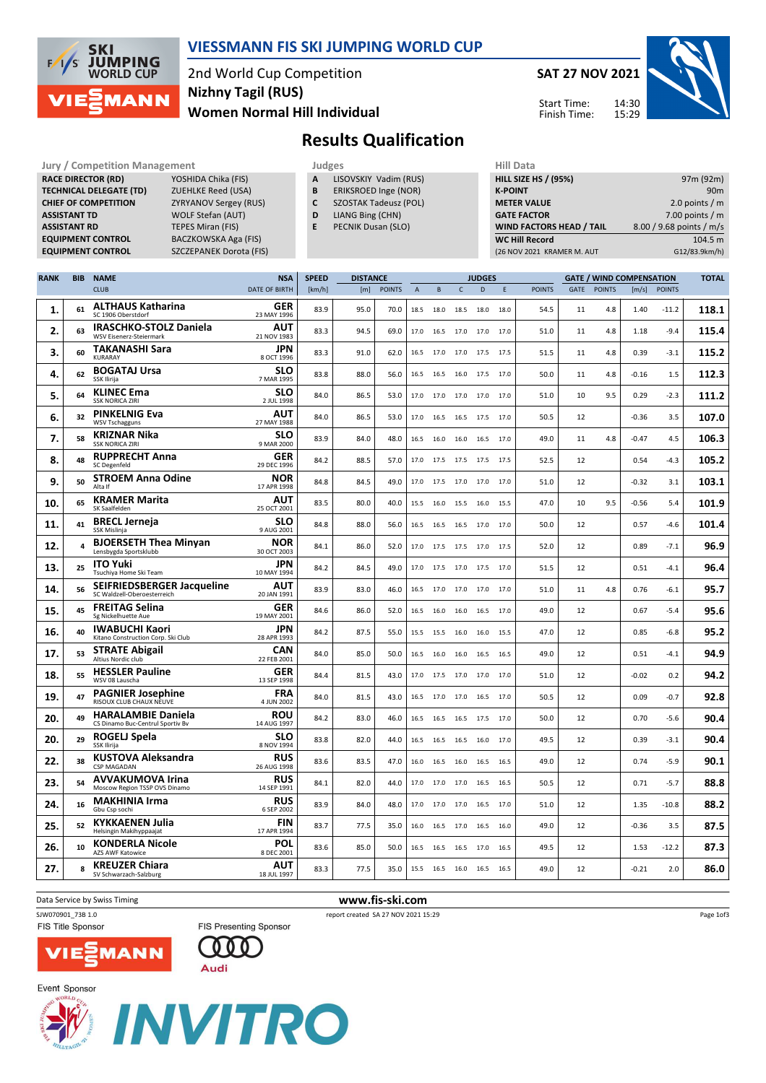

#### VIESSMANN FIS SKI JUMPING WORLD CUP

2nd World Cup Competition Women Normal Hill Individual Nizhny Tagil (RUS)

SAT 27 NOV 2021 14:30

15:29



Start Time: Finish Time:

# Results Qualification

Jury / Competition Management **Judges** Judges Hill Data<br>
RACE DIRECTOR (RD) YOSHIDA Chika (FIS) **A LISOVSKIY Vadim (RUS)** HILL SIZE HILL SIZE RACE DIRECTOR (RD) **TECHNICAL DELEGATE (TD)** ZUEHLKE Reed (USA)<br>
CHIEF OF COMPETITION ZYRYANOV Sergey (R ASSISTANT TD WOLF Stefan (AUT) **ASSISTANT RD** TEPES Miran (FIS)<br> **EQUIPMENT CONTROL** BACZKOWSKA Aga

ZYRYANOV Sergey (RUS) BACZKOWSKA Aga (FIS) EQUIPMENT CONTROL SZCZEPANEK Dorota (FIS)

- A LISOVSKIY Vadim (RUS)
- **B** ERIKSROED Inge (NOR)<br>**C** SZOSTAK Tadeusz (POL
- SZOSTAK Tadeusz (POL)
- D LIANG Bing (CHN)
- E PECNIK Dusan (SLO)

| 97m (92m)                |
|--------------------------|
| 90 <sub>m</sub>          |
| 2.0 points $/m$          |
| 7.00 points $/m$         |
| 8.00 / 9.68 points / m/s |
| 104.5 m                  |
| G12/83.9km/h)            |
|                          |

| <b>RANK</b> | <b>BIB</b> | <b>NAME</b>                                                      | <b>NSA</b>                | <b>SPEED</b> | <b>DISTANCE</b><br><b>JUDGES</b> |               |                |           |                | <b>GATE / WIND COMPENSATION</b> | <b>TOTAL</b> |               |      |               |         |               |       |
|-------------|------------|------------------------------------------------------------------|---------------------------|--------------|----------------------------------|---------------|----------------|-----------|----------------|---------------------------------|--------------|---------------|------|---------------|---------|---------------|-------|
|             |            | <b>CLUB</b>                                                      | DATE OF BIRTH             | [km/h]       | [m]                              | <b>POINTS</b> | $\overline{A}$ | B         | $\mathsf{C}$   | D                               | E            | <b>POINTS</b> | GATE | <b>POINTS</b> | [m/s]   | <b>POINTS</b> |       |
| 1.          | 61         | <b>ALTHAUS Katharina</b><br>SC 1906 Oberstdorf                   | GER<br>23 MAY 1996        | 83.9         | 95.0                             | 70.0          | 18.5           | 18.0      | 18.5           | 18.0                            | 18.0         | 54.5          | 11   | 4.8           | 1.40    | $-11.2$       | 118.1 |
| 2.          | 63         | <b>IRASCHKO-STOLZ Daniela</b><br><b>WSV Eisenerz-Steiermark</b>  | <b>AUT</b><br>21 NOV 1983 | 83.3         | 94.5                             | 69.0          | 17.0           | 16.5      | 17.0           | 17.0                            | 17.0         | 51.0          | 11   | 4.8           | 1.18    | $-9.4$        | 115.4 |
| 3.          | 60         | <b>TAKANASHI Sara</b><br>KURARAY                                 | <b>JPN</b><br>8 OCT 1996  | 83.3         | 91.0                             | 62.0          | 16.5           |           | 17.0 17.0      | 17.5                            | 17.5         | 51.5          | 11   | 4.8           | 0.39    | $-3.1$        | 115.2 |
| 4.          | 62         | <b>BOGATAJ Ursa</b><br>SSK Ilirija                               | <b>SLO</b><br>7 MAR 1995  | 83.8         | 88.0                             | 56.0          | 16.5           | 16.5      | 16.0           | 17.5                            | 17.0         | 50.0          | 11   | 4.8           | $-0.16$ | 1.5           | 112.3 |
| 5.          | 64         | <b>KLINEC Ema</b><br><b>SSK NORICA ZIRI</b>                      | <b>SLO</b><br>2 JUL 1998  | 84.0         | 86.5                             | 53.0          | 17.0           | 17.0      | 17.0           | 17.0                            | 17.0         | 51.0          | 10   | 9.5           | 0.29    | $-2.3$        | 111.2 |
| 6.          | 32         | <b>PINKELNIG Eva</b><br><b>WSV Tschagguns</b>                    | AUT<br>27 MAY 1988        | 84.0         | 86.5                             | 53.0          | 17.0           |           | 16.5 16.5 17.5 |                                 | 17.0         | 50.5          | 12   |               | $-0.36$ | 3.5           | 107.0 |
| 7.          | 58         | <b>KRIZNAR Nika</b><br><b>SSK NORICA ZIRI</b>                    | <b>SLO</b><br>9 MAR 2000  | 83.9         | 84.0                             | 48.0          | 16.5           | 16.0      | 16.0           | 16.5                            | 17.0         | 49.0          | 11   | 4.8           | $-0.47$ | 4.5           | 106.3 |
| 8.          | 48         | <b>RUPPRECHT Anna</b><br><b>SC Degenfeld</b>                     | <b>GER</b><br>29 DEC 1996 | 84.2         | 88.5                             | 57.0          | 17.0           | 17.5      | 17.5           | 17.5                            | 17.5         | 52.5          | 12   |               | 0.54    | $-4.3$        | 105.2 |
| 9.          | 50         | <b>STROEM Anna Odine</b><br>Alta If                              | <b>NOR</b><br>17 APR 1998 | 84.8         | 84.5                             | 49.0          | 17.0           | 17.5 17.0 |                | 17.0                            | 17.0         | 51.0          | 12   |               | -0.32   | 3.1           | 103.1 |
| 10.         | 65         | <b>KRAMER Marita</b><br>SK Saalfelden                            | AUT<br>25 OCT 2001        | 83.5         | 80.0                             | 40.0          | 15.5           | 16.0      | 15.5           | 16.0                            | 15.5         | 47.0          | 10   | 9.5           | $-0.56$ | 5.4           | 101.9 |
| 11.         | 41         | <b>BRECL Jerneja</b><br>SSK Mislinja                             | <b>SLO</b><br>9 AUG 2001  | 84.8         | 88.0                             | 56.0          | 16.5           | 16.5      | 16.5           | 17.0                            | 17.0         | 50.0          | 12   |               | 0.57    | -4.6          | 101.4 |
| 12.         | 4          | <b>BJOERSETH Thea Minyan</b><br>Lensbygda Sportsklubb            | <b>NOR</b><br>30 OCT 2003 | 84.1         | 86.0                             | 52.0          | 17.0           |           | 17.5 17.5 17.0 |                                 | 17.5         | 52.0          | 12   |               | 0.89    | $-7.1$        | 96.9  |
| 13.         | 25         | <b>ITO Yuki</b><br>Tsuchiya Home Ski Team                        | JPN<br>10 MAY 1994        | 84.2         | 84.5                             | 49.0          | 17.0           | 17.5      | 17.0           | 17.5                            | 17.0         | 51.5          | 12   |               | 0.51    | $-4.1$        | 96.4  |
| 14.         | 56         | <b>SEIFRIEDSBERGER Jacqueline</b><br>SC Waldzell-Oberoesterreich | AUT<br>20 JAN 1991        | 83.9         | 83.0                             | 46.0          | 16.5           |           | 17.0 17.0      | 17.0                            | 17.0         | 51.0          | 11   | 4.8           | 0.76    | $-6.1$        | 95.7  |
| 15.         | 45         | <b>FREITAG Selina</b><br>Sg Nickelhuette Aue                     | <b>GER</b><br>19 MAY 2001 | 84.6         | 86.0                             | 52.0          | 16.5           | 16.0      | 16.0           | 16.5                            | 17.0         | 49.0          | 12   |               | 0.67    | -5.4          | 95.6  |
| 16.         | 40         | <b>IWABUCHI Kaori</b><br>Kitano Construction Corp. Ski Club      | <b>JPN</b><br>28 APR 1993 | 84.2         | 87.5                             | 55.0          | 15.5           | 15.5      | 16.0           | 16.0                            | 15.5         | 47.0          | 12   |               | 0.85    | $-6.8$        | 95.2  |
| 17.         | 53         | <b>STRATE Abigail</b><br>Altius Nordic club                      | CAN<br>22 FEB 2001        | 84.0         | 85.0                             | 50.0          | 16.5           | 16.0      | 16.0           | 16.5                            | 16.5         | 49.0          | 12   |               | 0.51    | $-4.1$        | 94.9  |
| 18.         | 55         | <b>HESSLER Pauline</b><br>WSV 08 Lauscha                         | <b>GER</b><br>13 SEP 1998 | 84.4         | 81.5                             | 43.0          | 17.0           |           | 17.5 17.0      | 17.0                            | 17.0         | 51.0          | 12   |               | $-0.02$ | 0.2           | 94.2  |
| 19.         | 47         | <b>PAGNIER Josephine</b><br>RISOUX CLUB CHAUX NEUVE              | <b>FRA</b><br>4 JUN 2002  | 84.0         | 81.5                             | 43.0          | 16.5           | 17.0      | 17.0           | 16.5                            | 17.0         | 50.5          | 12   |               | 0.09    | $-0.7$        | 92.8  |
| 20.         | 49         | <b>HARALAMBIE Daniela</b><br>CS Dinamo Buc-Centrul Sportiv Bv    | ROU<br>14 AUG 1997        | 84.2         | 83.0                             | 46.0          | 16.5           |           | 16.5 16.5      | 17.5                            | 17.0         | 50.0          | 12   |               | 0.70    | $-5.6$        | 90.4  |
| 20.         | 29         | ROGELJ Spela<br>SSK Ilirija                                      | <b>SLO</b><br>8 NOV 1994  | 83.8         | 82.0                             | 44.0          | 16.5           |           | 16.5 16.5      | 16.0                            | 17.0         | 49.5          | 12   |               | 0.39    | -3.1          | 90.4  |
| 22.         | 38         | <b>KUSTOVA Aleksandra</b><br><b>CSP MAGADAN</b>                  | <b>RUS</b><br>26 AUG 1998 | 83.6         | 83.5                             | 47.0          | 16.0           |           | 16.5 16.0      | 16.5                            | 16.5         | 49.0          | 12   |               | 0.74    | $-5.9$        | 90.1  |
| 23.         | 54         | <b>AVVAKUMOVA Irina</b><br>Moscow Region TSSP OVS Dinamo         | <b>RUS</b><br>14 SEP 1991 | 84.1         | 82.0                             | 44.0          | 17.0           | 17.0      | 17.0           | 16.5                            | 16.5         | 50.5          | 12   |               | 0.71    | $-5.7$        | 88.8  |
| 24.         | 16         | <b>MAKHINIA Irma</b><br>Gbu Csp sochi                            | <b>RUS</b><br>6 SEP 2002  | 83.9         | 84.0                             | 48.0          | 17.0           | 17.0      | 17.0           | 16.5                            | 17.0         | 51.0          | 12   |               | 1.35    | $-10.8$       | 88.2  |
| 25.         | 52         | <b>KYKKAENEN Julia</b><br>Helsingin Makihyppaajat                | <b>FIN</b><br>17 APR 1994 | 83.7         | 77.5                             | 35.0          | 16.0           |           | 16.5 17.0      | 16.5                            | 16.0         | 49.0          | 12   |               | $-0.36$ | 3.5           | 87.5  |
| 26.         | 10         | <b>KONDERLA Nicole</b><br>AZS AWF Katowice                       | <b>POL</b><br>8 DEC 2001  | 83.6         | 85.0                             | 50.0          | 16.5           | 16.5      | 16.5           | 17.0                            | 16.5         | 49.5          | 12   |               | 1.53    | $-12.2$       | 87.3  |
| 27.         | 8          | <b>KREUZER Chiara</b><br>SV Schwarzach-Salzburg                  | AUT<br>18 JUL 1997        | 83.3         | 77.5                             | 35.0          | 15.5           | 16.5 16.0 |                | 16.5                            | 16.5         | 49.0          | 12   |               | $-0.21$ | 2.0           | 86.0  |

Data Service by Swiss Timing **WWW.fis-ski.com** 

FIS Title Sponsor

**VIE** 

SJW070901\_73B 1.0 report created SA 27 NOV 2021 15:29

Page 1of3





Audi

FIS Presenting Sponsor 000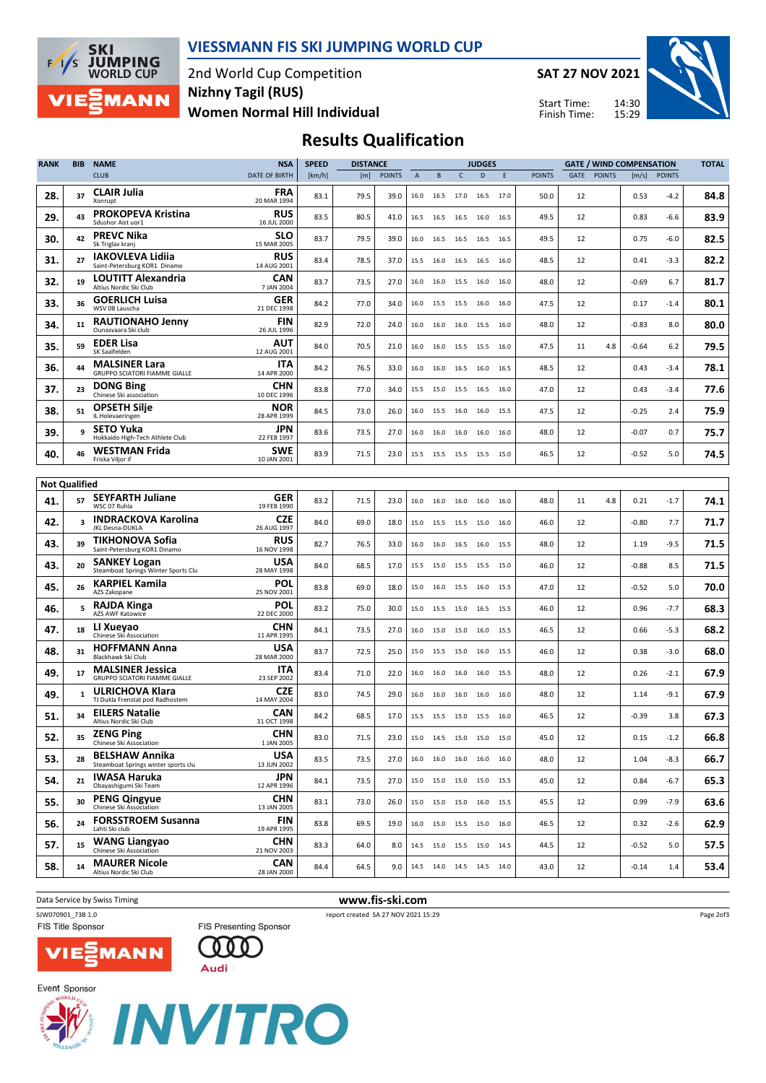

#### VIESSMANN FIS SKI JUMPING WORLD CUP

2nd World Cup Competition Women Normal Hill Individual Nizhny Tagil (RUS)

SAT 27 NOV 2021

Start Time: Finish Time:



## Results Qualification

| <b>RANK</b> | <b>BIB</b>           | <b>NAME</b>                                                  | <b>NSA</b>                | <b>SPEED</b><br><b>DISTANCE</b><br><b>JUDGES</b> |      |               |      | <b>GATE / WIND COMPENSATION</b> |                |                                  |      |               | <b>TOTAL</b> |               |         |               |      |
|-------------|----------------------|--------------------------------------------------------------|---------------------------|--------------------------------------------------|------|---------------|------|---------------------------------|----------------|----------------------------------|------|---------------|--------------|---------------|---------|---------------|------|
|             |                      | <b>CLUB</b>                                                  | <b>DATE OF BIRTH</b>      | [km/h]                                           | [m]  | <b>POINTS</b> | A    | B                               | c              | D                                | E    | <b>POINTS</b> | GATE         | <b>POINTS</b> | [m/s]   | <b>POINTS</b> |      |
| 28.         | 37                   | <b>CLAIR Julia</b><br>Xonrupt                                | FRA<br>20 MAR 1994        | 83.1                                             | 79.5 | 39.0          | 16.0 | 16.5                            | 17.0           | 16.5                             | 17.0 | 50.0          | 12           |               | 0.53    | -4.2          | 84.8 |
| 29.         | 43                   | <b>PROKOPEVA Kristina</b><br>Sdushor Aist uor1               | <b>RUS</b><br>16 JUL 2000 | 83.5                                             | 80.5 | 41.0          | 16.5 | 16.5                            | 16.5           | 16.0                             | 16.5 | 49.5          | 12           |               | 0.83    | -6.6          | 83.9 |
| 30.         | 42                   | <b>PREVC Nika</b><br>Sk Triglav kranj                        | SLO<br>15 MAR 2005        | 83.7                                             | 79.5 | 39.0          | 16.0 | 16.5                            | 16.5           | 16.5                             | 16.5 | 49.5          | 12           |               | 0.75    | $-6.0$        | 82.5 |
| 31.         | 27                   | <b>IAKOVLEVA Lidiia</b><br>Saint-Petersburg KOR1 Dinamo      | <b>RUS</b><br>14 AUG 2001 | 83.4                                             | 78.5 | 37.0          | 15.5 | 16.0                            | 16.5 16.5      |                                  | 16.0 | 48.5          | 12           |               | 0.41    | $-3.3$        | 82.2 |
| 32.         | 19                   | LOUTITT Alexandria<br>Altius Nordic Ski Club                 | CAN<br>7 JAN 2004         | 83.7                                             | 73.5 | 27.0          | 16.0 | 16.0                            | 15.5           | 16.0                             | 16.0 | 48.0          | 12           |               | $-0.69$ | 6.7           | 81.7 |
| 33.         | 36                   | <b>GOERLICH Luisa</b><br>WSV 08 Lauscha                      | <b>GER</b><br>21 DEC 1998 | 84.2                                             | 77.0 | 34.0          | 16.0 |                                 | 15.5 15.5 16.0 |                                  | 16.0 | 47.5          | 12           |               | 0.17    | $-1.4$        | 80.1 |
| 34.         | 11                   | <b>RAUTIONAHO Jenny</b><br>Ounasvaara Ski club               | <b>FIN</b><br>26 JUL 1996 | 82.9                                             | 72.0 | 24.0          | 16.0 | 16.0                            | 16.0           | 15.5                             | 16.0 | 48.0          | 12           |               | $-0.83$ | 8.0           | 80.0 |
| 35.         | 59                   | <b>EDER Lisa</b><br>SK Saalfelden                            | AUT<br>12 AUG 2001        | 84.0                                             | 70.5 | 21.0          | 16.0 | 16.0                            | 15.5           | 15.5                             | 16.0 | 47.5          | 11           | 4.8           | $-0.64$ | 6.2           | 79.5 |
| 36.         | 44                   | <b>MALSINER Lara</b><br>GRUPPO SCIATORI FIAMME GIALLE        | ITA<br>14 APR 2000        | 84.2                                             | 76.5 | 33.0          | 16.0 | 16.0                            |                | 16.5 16.0 16.5                   |      | 48.5          | 12           |               | 0.43    | $-3.4$        | 78.1 |
| 37.         | 23                   | <b>DONG Bing</b><br>Chinese Ski association                  | CHN<br>10 DEC 1996        | 83.8                                             | 77.0 | 34.0          | 15.5 | 15.0                            | 15.5           | 16.5                             | 16.0 | 47.0          | 12           |               | 0.43    | $-3.4$        | 77.6 |
| 38.         | 51                   | <b>OPSETH Silje</b><br>IL Holevaeringen                      | <b>NOR</b><br>28 APR 1999 | 84.5                                             | 73.0 | 26.0          | 16.0 | 15.5                            | 16.0           | 16.0                             | 15.5 | 47.5          | 12           |               | $-0.25$ | 2.4           | 75.9 |
| 39.         | 9                    | <b>SETO Yuka</b><br>Hokkaido High-Tech Athlete Club          | JPN<br>22 FEB 1997        | 83.6                                             | 73.5 | 27.0          | 16.0 | 16.0                            | 16.0           | 16.0                             | 16.0 | 48.0          | 12           |               | $-0.07$ | 0.7           | 75.7 |
| 40.         | 46                   | <b>WESTMAN Frida</b><br>Friska Viljor if                     | <b>SWE</b><br>10 JAN 2001 | 83.9                                             | 71.5 | 23.0          | 15.5 | 15.5 15.5 15.5                  |                |                                  | 15.0 | 46.5          | 12           |               | $-0.52$ | 5.0           | 74.5 |
|             | <b>Not Qualified</b> |                                                              |                           |                                                  |      |               |      |                                 |                |                                  |      |               |              |               |         |               |      |
| 41.         | 57                   | <b>SEYFARTH Juliane</b><br>WSC 07 Ruhla                      | <b>GER</b><br>19 FEB 1990 | 83.2                                             | 71.5 | 23.0          | 16.0 | 16.0                            | 16.0           | 16.0                             | 16.0 | 48.0          | 11           | 4.8           | 0.21    | $-1.7$        | 74.1 |
| 42.         | 3                    | <b>INDRACKOVA Karolina</b><br>JKL Desna-DUKLA                | <b>CZE</b><br>26 AUG 1997 | 84.0                                             | 69.0 | 18.0          | 15.0 |                                 | 15.5 15.5 15.0 |                                  | 16.0 | 46.0          | 12           |               | $-0.80$ | 7.7           | 71.7 |
| 43.         | 39                   | TIKHONOVA Sofia<br>Saint-Petersburg KOR1 Dinamo              | <b>RUS</b><br>16 NOV 1998 | 82.7                                             | 76.5 | 33.0          | 16.0 | 16.0                            | 16.5           | 16.0                             | 15.5 | 48.0          | 12           |               | 1.19    | $-9.5$        | 71.5 |
| 43.         | 20                   | <b>SANKEY Logan</b><br>Steamboat Springs Winter Sports Clu   | USA<br>28 MAY 1998        | 84.0                                             | 68.5 | 17.0          | 15.5 | 15.0                            | 15.5 15.5      |                                  | 15.0 | 46.0          | 12           |               | $-0.88$ | 8.5           | 71.5 |
| 45.         | 26                   | <b>KARPIEL Kamila</b><br>AZS Zakopane                        | POL<br>25 NOV 2001        | 83.8                                             | 69.0 | 18.0          | 15.0 | 16.0                            | 15.5           | 16.0                             | 15.5 | 47.0          | 12           |               | $-0.52$ | 5.0           | 70.0 |
| 46.         | 5                    | <b>RAJDA Kinga</b><br><b>AZS AWF Katowice</b>                | POL<br>22 DEC 2000        | 83.2                                             | 75.0 | 30.0          | 15.0 | 15.5                            | 15.0           | 16.5                             | 15.5 | 46.0          | 12           |               | 0.96    | $-7.7$        | 68.3 |
| 47.         | 18                   | LI Xueyao<br>Chinese Ski Association                         | CHN<br>11 APR 1995        | 84.1                                             | 73.5 | 27.0          | 16.0 | 15.0                            | 15.0           | 16.0 15.5                        |      | 46.5          | 12           |               | 0.66    | $-5.3$        | 68.2 |
| 48.         | 31                   | <b>HOFFMANN Anna</b><br>Blackhawk Ski Club                   | USA<br>28 MAR 2000        | 83.7                                             | 72.5 | 25.0          | 15.0 | 15.5                            | 15.0           | 16.0                             | 15.5 | 46.0          | 12           |               | 0.38    | $-3.0$        | 68.0 |
| 49.         | 17                   | <b>MALSINER Jessica</b><br>GRUPPO SCIATORI FIAMME GIALLE     | ITA<br>23 SEP 2002        | 83.4                                             | 71.0 | 22.0          | 16.0 | 16.0                            | 16.0           | 16.0                             | 15.5 | 48.0          | 12           |               | 0.26    | $-2.1$        | 67.9 |
| 49.         | 1                    | ULRICHOVA Klara<br>TJ Dukla Frenstat pod Radhostem           | <b>CZE</b><br>14 MAY 2004 | 83.0                                             | 74.5 | 29.0          | 16.0 | 16.0                            | 16.0           | 16.0                             | 16.0 | 48.0          | 12           |               | 1.14    | $-9.1$        | 67.9 |
| 51.         | 34                   | <b>EILERS Natalie</b><br>Altius Nordic Ski Club              | CAN<br>31 OCT 1998        | 84.2                                             | 68.5 | 17.0          | 15.5 | 15.5 15.0 15.5                  |                |                                  | 16.0 | 46.5          | 12           |               | $-0.39$ | 3.8           | 67.3 |
| 52.         | 35                   | <b>ZENG Ping</b><br>Chinese Ski Association                  | <b>CHN</b><br>1 JAN 2005  | 83.0                                             | 71.5 | 23.0          |      |                                 |                | 15.0  14.5  15.0  15.0  15.0     |      | 45.0          | 12           |               | 0.15    | $-1.2$        | 66.8 |
| 53.         | 28                   | <b>BELSHAW Annika</b><br>Steamboat Springs winter sports clu | USA<br>13 JUN 2002        | 83.5                                             | 73.5 | 27.0          |      |                                 |                | 16.0  16.0  16.0  16.0  16.0     |      | 48.0          | 12           |               | 1.04    | $-8.3$        | 66.7 |
| 54.         | 21                   | <b>IWASA Haruka</b><br>Obayashigumi Ski Team                 | JPN<br>12 APR 1996        | 84.1                                             | 73.5 | 27.0          |      |                                 |                | 15.0   15.0   15.0   15.0   15.5 |      | 45.0          | 12           |               | 0.84    | $-6.7$        | 65.3 |
| 55.         | 30                   | <b>PENG Qingyue</b><br>Chinese Ski Association               | <b>CHN</b><br>13 JAN 2005 | 83.1                                             | 73.0 | 26.0          | 15.0 |                                 |                | 15.0 15.0 16.0 15.5              |      | 45.5          | 12           |               | 0.99    | $-7.9$        | 63.6 |
| 56.         | 24                   | <b>FORSSTROEM Susanna</b><br>Lahti Ski club                  | <b>FIN</b><br>19 APR 1995 | 83.8                                             | 69.5 | 19.0          |      |                                 |                | 16.0 15.0 15.5 15.0 16.0         |      | 46.5          | 12           |               | 0.32    | $-2.6$        | 62.9 |
| 57.         | 15                   | <b>WANG Liangyao</b><br>Chinese Ski Association              | <b>CHN</b><br>21 NOV 2003 | 83.3                                             | 64.0 | 8.0           |      |                                 |                | 14.5   15.0   15.5   15.0   14.5 |      | 44.5          | 12           |               | $-0.52$ | 5.0           | 57.5 |
| 58.         | 14                   | <b>MAURER Nicole</b><br>Altius Nordic Ski Club               | <b>CAN</b><br>28 JAN 2000 | 84.4                                             | 64.5 | 9.0           |      |                                 |                | 14.5 14.0 14.5 14.5 14.0         |      | 43.0          | 12           |               | $-0.14$ | 1.4           | 53.4 |

Data Service by Swiss Timing **WWW.fis-ski.com** 

FIS Title Sponsor TE





Page 2of3





Audi

000